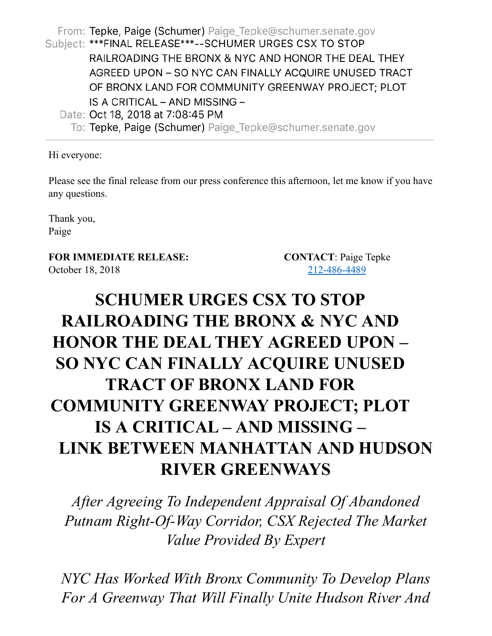From: Tepke, Paige (Schumer) Paige\_Tepke@schumer.senate.gov Subject: \*\*\*FINAL RELEASE\*\*\*--SCHUMER URGES CSX TO STOP RAILROADING THE BRONX & NYC AND HONOR THE DEAL THEY AGREED UPON - SO NYC CAN FINALLY ACQUIRE UNUSED TRACT OF BRONX LAND FOR COMMUNITY GREENWAY PROJECT; PLOT IS A CRITICAL - AND MISSING -Date: Oct 18, 2018 at 7:08:45 PM

To: Tepke, Paige (Schumer) Paige\_Tepke@schumer.senate.gov

Hi everyone:

Please see the final release from our press conference this afternoon, let me know if you have any questions.

Thank you, Paige

**FOR IMMEDIATE RELEASE: CONTACT**: Paige Tepke October 18, 2018 212-486-4489

## **SCHUMER URGES CSX TO STOP RAILROADING THE BRONX & NYC AND HONOR THE DEAL THEY AGREED UPON – SO NYC CAN FINALLY ACQUIRE UNUSED TRACT OF BRONX LAND FOR COMMUNITY GREENWAY PROJECT; PLOT IS A CRITICAL – AND MISSING – LINK BETWEEN MANHATTAN AND HUDSON RIVER GREENWAYS**

*After Agreeing To Independent Appraisal Of Abandoned Putnam Right-Of-Way Corridor, CSX Rejected The Market Value Provided By Expert*

*NYC Has Worked With Bronx Community To Develop Plans For A Greenway That Will Finally Unite Hudson River And*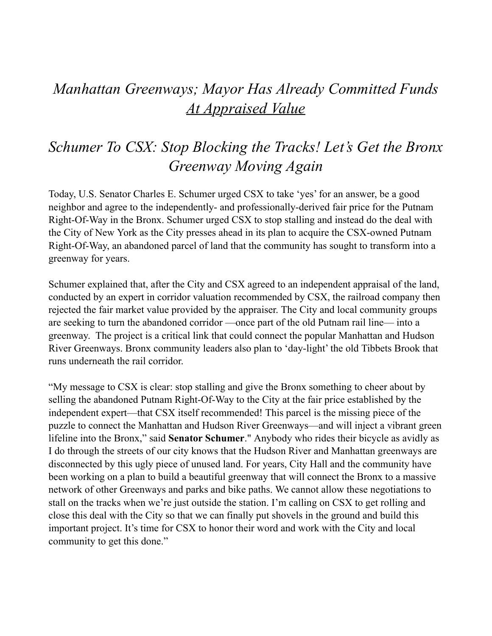## *Manhattan Greenways; Mayor Has Already Committed Funds At Appraised Value*

## *Schumer To CSX: Stop Blocking the Tracks! Let's Get the Bronx Greenway Moving Again*

Today, U.S. Senator Charles E. Schumer urged CSX to take 'yes' for an answer, be a good neighbor and agree to the independently- and professionally-derived fair price for the Putnam Right-Of-Way in the Bronx. Schumer urged CSX to stop stalling and instead do the deal with the City of New York as the City presses ahead in its plan to acquire the CSX-owned Putnam Right-Of-Way, an abandoned parcel of land that the community has sought to transform into a greenway for years.

Schumer explained that, after the City and CSX agreed to an independent appraisal of the land, conducted by an expert in corridor valuation recommended by CSX, the railroad company then rejected the fair market value provided by the appraiser. The City and local community groups are seeking to turn the abandoned corridor —once part of the old Putnam rail line— into a greenway. The project is a critical link that could connect the popular Manhattan and Hudson River Greenways. Bronx community leaders also plan to 'day-light' the old Tibbets Brook that runs underneath the rail corridor.

"My message to CSX is clear: stop stalling and give the Bronx something to cheer about by selling the abandoned Putnam Right-Of-Way to the City at the fair price established by the independent expert—that CSX itself recommended! This parcel is the missing piece of the puzzle to connect the Manhattan and Hudson River Greenways—and will inject a vibrant green lifeline into the Bronx," said **Senator Schumer**." Anybody who rides their bicycle as avidly as I do through the streets of our city knows that the Hudson River and Manhattan greenways are disconnected by this ugly piece of unused land. For years, City Hall and the community have been working on a plan to build a beautiful greenway that will connect the Bronx to a massive network of other Greenways and parks and bike paths. We cannot allow these negotiations to stall on the tracks when we're just outside the station. I'm calling on CSX to get rolling and close this deal with the City so that we can finally put shovels in the ground and build this important project. It's time for CSX to honor their word and work with the City and local community to get this done."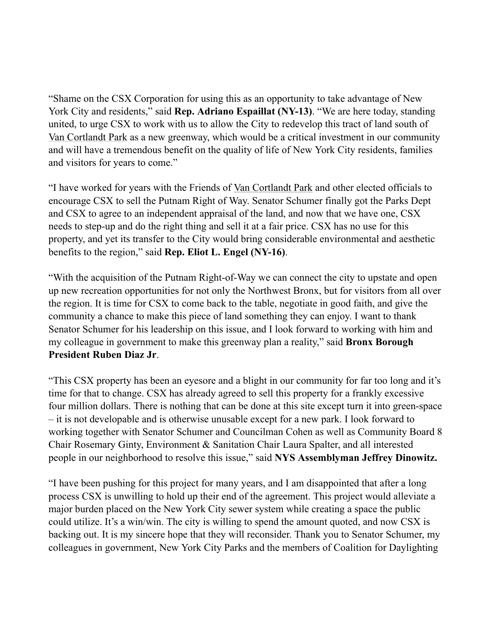"Shame on the CSX Corporation for using this as an opportunity to take advantage of New York City and residents," said **Rep. Adriano Espaillat (NY-13)**. "We are here today, standing united, to urge CSX to work with us to allow the City to redevelop this tract of land south of Van Cortlandt Park as a new greenway, which would be a critical investment in our community and will have a tremendous benefit on the quality of life of New York City residents, families and visitors for years to come."

"I have worked for years with the Friends of Van Cortlandt Park and other elected officials to encourage CSX to sell the Putnam Right of Way. Senator Schumer finally got the Parks Dept and CSX to agree to an independent appraisal of the land, and now that we have one, CSX needs to step-up and do the right thing and sell it at a fair price. CSX has no use for this property, and yet its transfer to the City would bring considerable environmental and aesthetic benefits to the region," said **Rep. Eliot L. Engel (NY-16)**.

"With the acquisition of the Putnam Right-of-Way we can connect the city to upstate and open up new recreation opportunities for not only the Northwest Bronx, but for visitors from all over the region. It is time for CSX to come back to the table, negotiate in good faith, and give the community a chance to make this piece of land something they can enjoy. I want to thank Senator Schumer for his leadership on this issue, and I look forward to working with him and my colleague in government to make this greenway plan a reality," said **Bronx Borough President Ruben Diaz Jr**.

"This CSX property has been an eyesore and a blight in our community for far too long and it's time for that to change. CSX has already agreed to sell this property for a frankly excessive four million dollars. There is nothing that can be done at this site except turn it into green-space – it is not developable and is otherwise unusable except for a new park. I look forward to working together with Senator Schumer and Councilman Cohen as well as Community Board 8 Chair Rosemary Ginty, Environment & Sanitation Chair Laura Spalter, and all interested people in our neighborhood to resolve this issue," said **NYS Assemblyman Jeffrey Dinowitz.**

"I have been pushing for this project for many years, and I am disappointed that after a long process CSX is unwilling to hold up their end of the agreement. This project would alleviate a major burden placed on the New York City sewer system while creating a space the public could utilize. It's a win/win. The city is willing to spend the amount quoted, and now CSX is backing out. It is my sincere hope that they will reconsider. Thank you to Senator Schumer, my colleagues in government, New York City Parks and the members of Coalition for Daylighting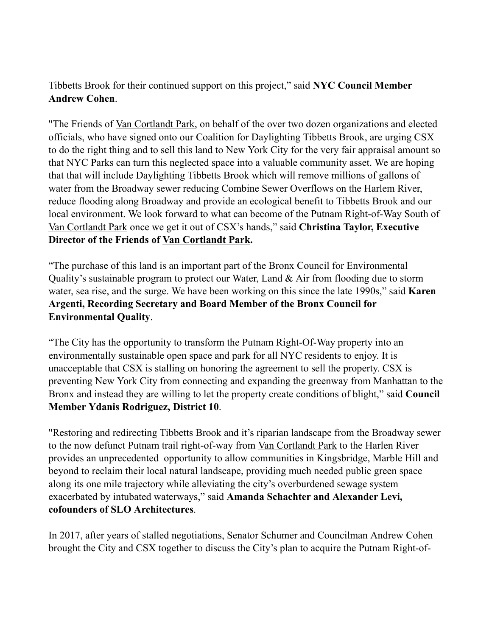## Tibbetts Brook for their continued support on this project," said **NYC Council Member Andrew Cohen**.

"The Friends of Van Cortlandt Park, on behalf of the over two dozen organizations and elected officials, who have signed onto our Coalition for Daylighting Tibbetts Brook, are urging CSX to do the right thing and to sell this land to New York City for the very fair appraisal amount so that NYC Parks can turn this neglected space into a valuable community asset. We are hoping that that will include Daylighting Tibbetts Brook which will remove millions of gallons of water from the Broadway sewer reducing Combine Sewer Overflows on the Harlem River, reduce flooding along Broadway and provide an ecological benefit to Tibbetts Brook and our local environment. We look forward to what can become of the Putnam Right-of-Way South of Van Cortlandt Park once we get it out of CSX's hands," said **Christina Taylor, Executive Director of the Friends of Van Cortlandt Park.**

"The purchase of this land is an important part of the Bronx Council for Environmental Quality's sustainable program to protect our Water, Land & Air from flooding due to storm water, sea rise, and the surge. We have been working on this since the late 1990s," said **Karen Argenti, Recording Secretary and Board Member of the Bronx Council for Environmental Quality**.

"The City has the opportunity to transform the Putnam Right-Of-Way property into an environmentally sustainable open space and park for all NYC residents to enjoy. It is unacceptable that CSX is stalling on honoring the agreement to sell the property. CSX is preventing New York City from connecting and expanding the greenway from Manhattan to the Bronx and instead they are willing to let the property create conditions of blight," said **Council Member Ydanis Rodriguez, District 10**.

"Restoring and redirecting Tibbetts Brook and it's riparian landscape from the Broadway sewer to the now defunct Putnam trail right-of-way from Van Cortlandt Park to the Harlen River provides an unprecedented opportunity to allow communities in Kingsbridge, Marble Hill and beyond to reclaim their local natural landscape, providing much needed public green space along its one mile trajectory while alleviating the city's overburdened sewage system exacerbated by intubated waterways," said **Amanda Schachter and Alexander Levi, cofounders of SLO Architectures**.

In 2017, after years of stalled negotiations, Senator Schumer and Councilman Andrew Cohen brought the City and CSX together to discuss the City's plan to acquire the Putnam Right-of-